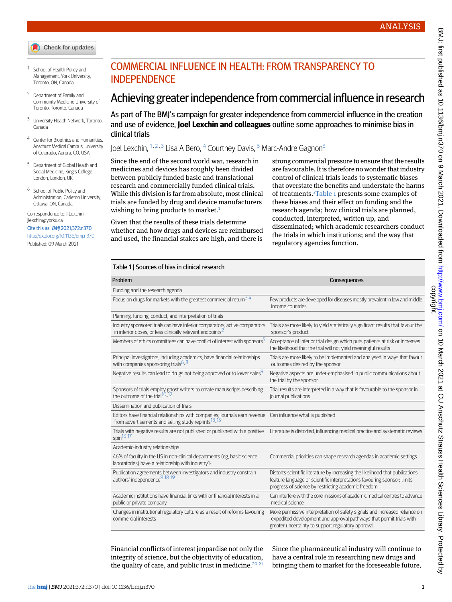- Check for updates
- <span id="page-0-1"></span><span id="page-0-0"></span><sup>1</sup> School of Health Policy and Management, York University, Toronto, ON, Canada
- <span id="page-0-2"></span><sup>2</sup> Department of Family and Community Medicine University of Toronto, Toronto, Canada
- <span id="page-0-3"></span><sup>3</sup> University Health Network, Toronto, Canada
- <span id="page-0-4"></span>Center for Bioethics and Humanities, Anschutz Medical Campus, University of Colorado, Aurora, CO, USA
- <span id="page-0-5"></span><sup>5</sup> Department of Global Health and Social Medicine, King's College London, London, UK
- <sup>6</sup> School of Public Policy and Administration, Carleton University, Ottawa, ON, Canada

Correspondence to: J Lexchin [jlexchin@yorku.ca](mailto:jlexchin@yorku.ca)

#### Cite this as: BMJ 2021;372:n370 <http://dx.doi.org/10.1136/bmj.n370>

Published: 09 March 2021

# COMMERCIAL INFLUENCE IN HEALTH: FROM TRANSPARENCY TO **INDEPENDENCE**

# Achieving greater independence from commercial influence in research

As part of The BMJ's campaign for greater independence from commercial influence in the creation and use of evidence, **Joel Lexchin and colleagues** outline some approaches to minimise bias in clinical trials

Joel Lexchin, <sup>[1](#page-0-0), [2](#page-0-1), [3](#page-0-2)</sup> Lisa A Bero, <sup>[4](#page-0-3)</sup> Courtney Davis, <sup>[5](#page-0-4)</sup> Marc-Andre Gagnon<sup>[6](#page-0-5)</sup>

Since the end of the second world war, research in medicines and devices has roughly been divided between publicly funded basic and translational research and commercially funded clinical trials. While this division is far from absolute, most clinical trials are funded by drug and device manufacturers wishing to bring products to market. $1$ 

<span id="page-0-6"></span>Given that the results of these trials determine whether and how drugs and devices are reimbursed and used, the financial stakes are high, and there is strong commercial pressure to ensure that the results are favourable. It is therefore no wonder that industry control of clinical trials leads to systematic biases that overstate the benefits and understate the harms of treatments.[2](#page-3-1)[Table 1](#page-0-6) presents some examples of these biases and their effect on funding and the research agenda; how clinical trials are planned, conducted, interpreted, written up, and disseminated; which academic researchers conduct the trials in which institutions; and the way that regulatory agencies function.

#### Table 1 | Sources of bias in clinical research

| Problem                                                                                                                                              | Consequences                                                                                                                                                                                                     |
|------------------------------------------------------------------------------------------------------------------------------------------------------|------------------------------------------------------------------------------------------------------------------------------------------------------------------------------------------------------------------|
| Funding and the research agenda                                                                                                                      |                                                                                                                                                                                                                  |
| Focus on drugs for markets with the greatest commercial return $34$                                                                                  | Few products are developed for diseases mostly prevalent in low and middle<br>income countries                                                                                                                   |
| Planning, funding, conduct, and interpretation of trials                                                                                             |                                                                                                                                                                                                                  |
| Industry sponsored trials can have inferior comparators, active comparators<br>in inferior doses, or less clinically relevant endpoints <sup>2</sup> | Trials are more likely to yield statistically significant results that favour the<br>sponsor's product                                                                                                           |
| Members of ethics committees can have conflict of interest with sponsors <sup>5</sup>                                                                | Acceptance of inferior trial design which puts patients at risk or increases<br>the likelihood that the trial will not yield meaningful results                                                                  |
| Principal investigators, including academics, have financial relationships<br>with companies sponsoring trials <sup>6_8</sup>                        | Trials are more likely to be implemented and analysed in ways that favour<br>outcomes desired by the sponsor                                                                                                     |
| Negative results can lead to drugs not being approved or to lower sales <sup>9</sup>                                                                 | Negative aspects are under-emphasised in public communications about<br>the trial by the sponsor                                                                                                                 |
| Sponsors of trials employ ghost writers to create manuscripts describing<br>the outcome of the trial <sup>10</sup> .12                               | Trial results are interpreted in a way that is favourable to the sponsor in<br>journal publications                                                                                                              |
| Dissemination and publication of trials                                                                                                              |                                                                                                                                                                                                                  |
| Editors have financial relationships with companies; journals earn revenue<br>from advertisements and selling study reprints <sup>13</sup> -15       | Can influence what is published                                                                                                                                                                                  |
| Trials with negative results are not published or published with a positive<br>spin <sup>16</sup> 17                                                 | Literature is distorted, influencing medical practice and systematic reviews                                                                                                                                     |
| Academic-industry relationships                                                                                                                      |                                                                                                                                                                                                                  |
| 46% of faculty in the US in non-clinical departments (eg. basic science<br>laboratories) have a relationship with industry1-                         | Commercial priorities can shape research agendas in academic settings                                                                                                                                            |
| Publication agreements between investigators and industry constrain<br>authors' independence <sup>8</sup> 18 19                                      | Distorts scientific literature by increasing the likelihood that publications<br>feature language or scientific interpretations favouring sponsor; limits<br>progress of science by restricting academic freedom |
| Academic institutions have financial links with or financial interests in a<br>public or private company                                             | Can interfere with the core missions of academic medical centres to advance<br>medical science                                                                                                                   |
| Changes in institutional regulatory culture as a result of reforms favouring<br>commercial interests                                                 | More permissive interpretation of safety signals and increased reliance on<br>expedited development and approval pathways that permit trials with<br>greater uncertainty to support regulatory approval          |

Financial conflicts of interest jeopardise not only the integrity of science, but the objectivity of education, the quality of care, and public trust in medicine.<sup>[20](#page-3-16) [21](#page-3-17)</sup>

Since the pharmaceutical industry will continue to have a central role in researching new drugs and bringing them to market for the foreseeable future,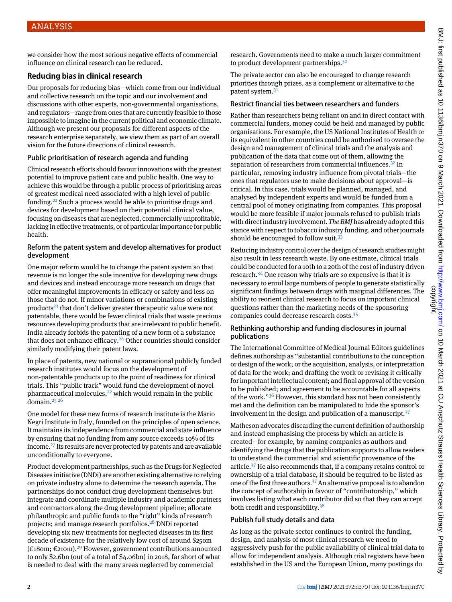we consider how the most serious negative effects of commercial influence on clinical research can be reduced.

# **Reducing bias in clinical research**

Our proposals for reducing bias—which come from our individual and collective research on the topic and our involvement and discussions with other experts, non-governmental organisations, and regulators—range from ones that are currently feasible to those impossible to imagine in the current political and economic climate. Although we present our proposals for different aspects of the research enterprise separately, we view them as part of an overall vision for the future directions of clinical research.

## Public prioritisation of research agenda and funding

Clinical research efforts should favour innovations with the greatest potential to improve patient care and public health. One way to achieve this would be through a public process of prioritising areas of greatest medical need associated with a high level of public funding.[22](#page-3-18) Such a process would be able to prioritise drugs and devices for development based on their potential clinical value, focusing on diseases that are neglected, commercially unprofitable, lacking in effective treatments, or of particular importance for public health.

#### Reform the patent system and develop alternatives for product development

One major reform would be to change the patent system so that revenue is no longer the sole incentive for developing new drugs and devices and instead encourage more research on drugs that offer meaningful improvements in efficacy or safety and less on those that do not. If minor variations or combinations of existing products<sup>[23](#page-3-19)</sup> that don't deliver greater therapeutic value were not patentable, there would be fewer clinical trials that waste precious resources developing products that are irrelevant to public benefit. India already forbids the patenting of a new form of a substance that does not enhance efficacy. $24$  Other countries should consider similarly modifying their patent laws.

In place of patents, new national or supranational publicly funded research institutes would focus on the development of non-patentable products up to the point of readiness for clinical trials. This "public track" would fund the development of novel pharmaceutical molecules,<sup>[22](#page-3-18)</sup> which would remain in the public domain. $2526$  $2526$ 

One model for these new forms of research institute is the Mario Negri Institute in Italy, founded on the principles of open science. It maintains its independence from commercial and state influence by ensuring that no funding from any source exceeds 10% of its income.[27](#page-3-23) Its results are never protected by patents and are available unconditionally to everyone.

Product development partnerships, such as the Drugs for Neglected Diseases initiative (DNDi) are another existing alternative to relying on private industry alone to determine the research agenda. The partnerships do not conduct drug development themselves but integrate and coordinate multiple industry and academic partners and contractors along the drug development pipeline; allocate philanthropic and public funds to the "right" kinds of research projects; and manage research portfolios.[28](#page-3-24) DNDi reported developing six new treatments for neglected diseases in its first decade of existence for the relatively low cost of around \$250m (£180m; €210m).<sup>[29](#page-3-25)</sup> However, government contributions amounted to only \$2.6bn (out of a total of \$4.06bn) in 2018, far short of what is needed to deal with the many areas neglected by commercial

research. Governments need to make a much larger commitment to product development partnerships.<sup>[30](#page-3-26)</sup>

The private sector can also be encouraged to change research priorities through prizes, as a complement or alternative to the patent system.<sup>[31](#page-3-27)</sup>

### Restrict financial ties between researchers and funders

Rather than researchers being reliant on and in direct contact with commercial funders, money could be held and managed by public organisations. For example, the US National Institutes of Health or its equivalent in other countries could be authorised to oversee the design and management of clinical trials and the analysis and publication of the data that come out of them, allowing the separation of researchers from commercial influences.<sup>[32](#page-3-28)</sup> In particular, removing industry influence from pivotal trials—the ones that regulators use to make decisions about approval—is critical. In this case, trials would be planned, managed, and analysed by independent experts and would be funded from a central pool of money originating from companies. This proposal would be more feasible if major journals refused to publish trials with direct industry involvement. *The BMJ* has already adopted this stance with respect to tobacco industry funding, and other journals should be encouraged to follow suit.<sup>[33](#page-3-29)</sup>

Reducing industry control over the design of research studies might also result in less research waste. By one estimate, clinical trials could be conducted for a 10th to a 20th of the cost of industry driven research.[34](#page-3-30) One reason why trials are so expensive is that it is necessary to enrol large numbers of people to generate statistically significant findings between drugs with marginal differences. The ability to reorient clinical research to focus on important clinical questions rather than the marketing needs of the sponsoring companies could decrease research costs.[35](#page-3-31)

#### Rethinking authorship and funding disclosures in journal publications

The International Committee of Medical Journal Editors guidelines defines authorship as "substantial contributions to the conception or design of the work; or the acquisition, analysis, or interpretation of data for the work; and drafting the work or revising it critically for important intellectual content; and final approval of the version to be published; and agreement to be accountable for all aspects of the work."<sup>[36](#page-3-32)</sup> However, this standard has not been consistently met and the definition can be manipulated to hide the sponsor's involvement in the design and publication of a manuscript. $37$ 

Matheson advocates discarding the current definition of authorship and instead emphasising the process by which an article is created—for example, by naming companies as authors and identifying the drugs that the publication supports to allow readers to understand the commercial and scientific provenance of the article.[37](#page-3-33) He also recommends that, if a company retains control or ownership of a trial database, it should be required to be listed as one of the first three authors.<sup>[37](#page-3-33)</sup> An alternative proposal is to abandon the concept of authorship in favour of "contributorship," which involves listing what each contributor did so that they can accept both credit and responsibility. $38$ 

## Publish full study details and data

As long as the private sector continues to control the funding, design, and analysis of most clinical research we need to aggressively push for the public availability of clinical trial data to allow for independent analysis. Although trial registers have been established in the US and the European Union, many postings do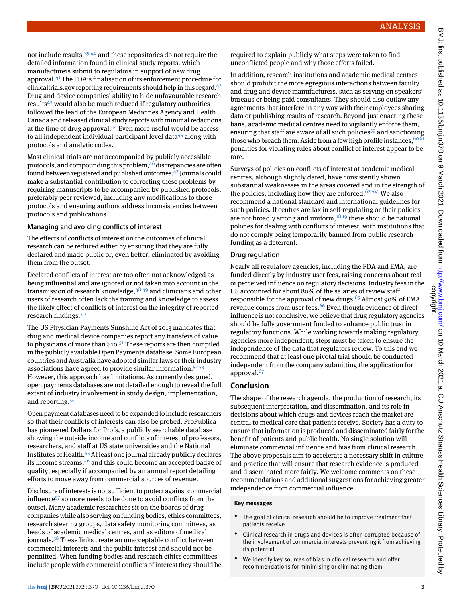not include results.<sup>[39](#page-3-35) [40](#page-3-36)</sup> and these repositories do not require the detailed information found in clinical study reports, which manufacturers submit to regulators in support of new drug approval.[41](#page-3-37) The FDA's finalisation of its enforcement procedure for clinicaltrials.gov reporting requirements should help in this regard. $42$ Drug and device companies' ability to hide unfavourable research results $43$  would also be much reduced if regulatory authorities followed the lead of the European Medicines Agency and Health Canada and released clinical study reports with minimal redactions at the time of drug approval.[44](#page-3-40) Even more useful would be access to all independent individual participant level data $45$  along with protocols and analytic codes.

Most clinical trials are not accompanied by publicly accessible protocols, and compounding this problem,  $46$  discrepancies are often found between registered and published outcomes.<sup>[47](#page-3-43)</sup> Journals could make a substantial contribution to correcting these problems by requiring manuscripts to be accompanied by published protocols, preferably peer reviewed, including any modifications to those protocols and ensuring authors address inconsistencies between protocols and publications.

#### Managing and avoiding conflicts of interest

The effects of conflicts of interest on the outcomes of clinical research can be reduced either by ensuring that they are fully declared and made public or, even better, eliminated by avoiding them from the outset.

Declared conflicts of interest are too often not acknowledged as being influential and are ignored or not taken into account in the transmission of research knowledge,  $4849$  $4849$  and clinicians and other users of research often lack the training and knowledge to assess the likely effect of conflicts of interest on the integrity of reported research findings.[50](#page-4-2)

The US Physician Payments Sunshine Act of 2013 mandates that drug and medical device companies report any transfers of value to physicians of more than  $$10.<sup>51</sup>$  $$10.<sup>51</sup>$  $$10.<sup>51</sup>$  These reports are then compiled in the publicly available Open Payments database. Some European countries and Australia have adopted similar laws or their industry associations have agreed to provide similar information.[52](#page-4-4) [53](#page-4-5) However, this approach has limitations. As currently designed, open payments databases are not detailed enough to reveal the full extent of industry involvement in study design, implementation, and reporting.[54](#page-4-6)

Open payment databases need to be expanded to include researchers so that their conflicts of interests can also be probed. ProPublica has pioneered Dollars for Profs*,* a publicly searchable database showing the outside income and conflicts of interest of professors, researchers, and staff at US state universities and the National Institutes of Health.[55](#page-4-7)At least one journal already publicly declares its income streams,  $56$  and this could become an accepted badge of quality, especially if accompanied by an annual report detailing efforts to move away from commercial sources of revenue.

Disclosure of interests is not sufficient to protect against commercial influence[57](#page-4-9) so more needs to be done to avoid conflicts from the outset. Many academic researchers sit on the boards of drug companies while also serving on funding bodies, ethics committees, research steering groups, data safety monitoring committees, as heads of academic medical centres, and as editors of medical journals.<sup>[58](#page-4-10)</sup> These links create an unacceptable conflict between commercial interests and the public interest and should not be permitted. When funding bodies and research ethics committees include people with commercial conflicts of interest they should be

In addition, research institutions and academic medical centres should prohibit the more egregious interactions between faculty and drug and device manufacturers, such as serving on speakers' bureaus or being paid consultants. They should also outlaw any agreements that interfere in any way with their employees sharing data or publishing results of research. Beyond just enacting these bans, academic medical centres need to vigilantly enforce them, ensuring that staff are aware of all such policies<sup>[59](#page-4-11)</sup> and sanctioning those who breach them. Aside from a few high profile instances,  $60\,61$  $60\,61$ penalties for violating rules about conflict of interest appear to be rare.

Surveys of policies on conflicts of interest at academic medical centres, although slightly dated, have consistently shown substantial weaknesses in the areas covered and in the strength of the policies, including how they are enforced.<sup>[62](#page-4-14)-[64](#page-4-16)</sup> We also recommend a national standard and international guidelines for such policies. If centres are lax in self-regulating or their policies are not broadly strong and uniform, $18\overline{19}$  $18\overline{19}$  there should be national policies for dealing with conflicts of interest, with institutions that do not comply being temporarily banned from public research funding as a deterrent.

#### Drug regulation

Nearly all regulatory agencies, including the FDA and EMA, are funded directly by industry user fees, raising concerns about real or perceived influence on regulatory decisions. Industry fees in the US accounted for about 80% of the salaries of review staff responsible for the approval of new drugs.<sup>[65](#page-4-17)</sup> Almost 90% of EMA revenue comes from user fees.<sup>[66](#page-4-18)</sup> Even though evidence of direct influence is not conclusive, we believe that drug regulatory agencies should be fully government funded to enhance public trust in regulatory functions. While working towards making regulatory agencies more independent, steps must be taken to ensure the independence of the data that regulators review. To this end we recommend that at least one pivotal trial should be conducted independent from the company submitting the application for approval.<sup>[67](#page-4-19)</sup>

## **Conclusion**

The shape of the research agenda, the production of research, its subsequent interpretation, and dissemination, and its role in decisions about which drugs and devices reach the market are central to medical care that patients receive. Society has a duty to ensure that information is produced and disseminated fairly for the benefit of patients and public health. No single solution will eliminate commercial influence and bias from clinical research. The above proposals aim to accelerate a necessary shift in culture and practice that will ensure that research evidence is produced and disseminated more fairly. We welcome comments on these recommendations and additional suggestions for achieving greater independence from commercial influence.

#### **Key messages**

- The goal of clinical research should be to improve treatment that patients receive
- Clinical research in drugs and devices is often corrupted because of the involvement of commercial interests preventing it from achieving its potential
- We identify key sources of bias in clinical research and offer recommendations for minimising or eliminating them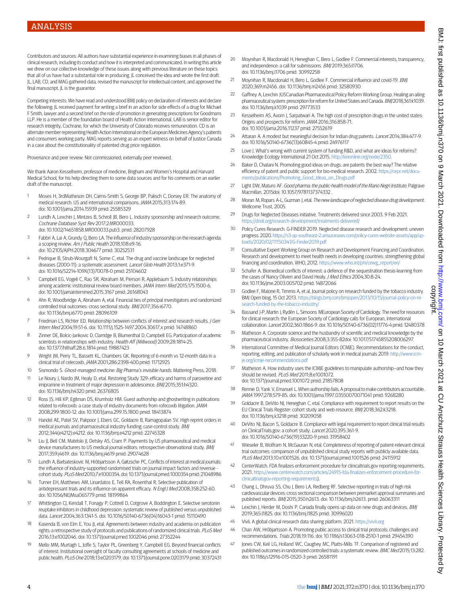Contributors and sources: All authors have substantial experience in examining biases in all phases of clinical research, including its conduct and how it is interpreted and communicated. In writing this article we drew on our collective knowledge of these issues along with previous literature on these topics that all of us have had a substantial role in producing. JL conceived the idea and wrote the first draft. JL, LAB, CD, and MAG gathered data, revised the manuscript for intellectual content, and approved the final manuscript. IL is the guarantor.

Competing interests: We have read and understood BMJ policy on declaration of interests and declare the following: JL received payment for writing a brief in an action for side effects of a drug for Michael F Smith, lawyer and a second brief on the role of promotion in generating prescriptions for Goodmans LLP. He is a member of the foundation board of Health Action International. LAB is senior editor for research integrity, Cochrane, for which the University of Colorado receives remuneration. CD is an alternate member representing Health Action International on the European Medicines Agency's patients and consumers working party. MAG reports serving as an expert witness on behalf of Justice Canada in a case about the constitutionality of patented drug price regulation.

Provenance and peer review: Not commissioned; externally peer reviewed.

<span id="page-3-0"></span>We thank Aaron Kesselheim, professor of medicine, Brigham and Women's Hospital and Harvard Medical School, for his help directing them to some data sources and for his comments on an earlier draft of the manuscript.

- <span id="page-3-1"></span>1 Moses H, 3rdMatheson DH, Cairns-Smith S, George BP, Palisch C, Dorsey ER. The anatomy of medical research: US and international comparisons. JAMA 2015;313:174-89. doi: 10.1001/jama.2014.15939 pmid: 25585329
- <span id="page-3-2"></span>2 Lundh A, Lexchin J, Mintzes B, Schroll JB, Bero L. Industry sponsorship and research outcome. Cochrane Database Syst Rev 2017;2:MR000033. doi: 10.1002/14651858.MR000033.pub3. pmid: 28207928
- <span id="page-3-3"></span>3 Fabbri A, Lai A, Grundy Q, Bero LA. The influence of industry sponsorship on the research agenda: a scoping review. Am J Public Health 2018;108:e9-16. doi: 10.2105/AJPH.2018.304677 pmid: 30252531
- <span id="page-3-5"></span><span id="page-3-4"></span>Pedrique B, Strub-Wourgaft N, Some C, etal. The drug and vaccine landscape for neglected diseases (2000-11): a systematic assessment. Lancet Glob Health 2013;1:e371-9. doi: 10.1016/S2214-109X(13)70078-0 pmid: 25104602
- 5 Campbell EG, Vogeli C, Rao SR, Abraham M, Pierson R, Applebaum S. Industry relationships among academic institutional review board members. JAMA Intern Med 2015;175:1500-6. doi: 10.1001/jamainternmed.2015.3167 pmid: 26168043
- <span id="page-3-6"></span>6 Ahn R, Woodbridge A, Abraham A, etal. Financial ties of principal investigators and randomized controlled trial outcomes: cross sectional study. BMJ 2017;356:i6770. doi: 10.1136/bmj.i6770 pmid: 28096109
- <span id="page-3-7"></span>Friedman LS, Richter ED. Relationship between conflicts of interest and research results. J Gen Intern Med 2004;19:51-6. doi: 10.1111/j.1525-1497.2004.30617.x pmid: 14748860
- <span id="page-3-8"></span>8 Zinner DE, Bolcic-Jankovic D, Clarridge B, Blumenthal D, Campbell EG. Participation of academic scientists in relationships with industry. Health Aff (Millwood) 2009;28:1814-25. doi: 10.1377/hlthaff.28.6.1814 pmid: 19887423
- <span id="page-3-9"></span>9 Wright JM, Perry TL, Bassett KL, Chambers GK. Reporting of 6-month vs 12-month data in a clinical trial of celecoxib. JAMA 2001;286:2398-400.pmid: 11712925
- <span id="page-3-10"></span>10 Sismondo S. Ghost-managed medicine: Big Pharma's invisible hands. Mattering Press, 2018.
- 11 Le Noury J, Nardo JM, Healy D, etal. Restoring Study 329: efficacy and harms of paroxetine and imipramine in treatment of major depression in adolescence. BMJ 2015;351:h4320. doi: 10.1136/bmj.h4320 pmid: 26376805
- 12 Ross JS, Hill KP, Egilman DS, Krumholz HM. Guest authorship and ghostwriting in publications related to rofecoxib: a case study of industry documents from rofecoxib litigation. JAMA 2008;299:1800-12. doi: 10.1001/jama.299.15.1800 pmid: 18413874
- <span id="page-3-12"></span><span id="page-3-11"></span>13 Handel AE, Patel SV, Pakpoor J, Ebers GC, Goldacre B, Ramagopalan SV. High reprint orders in medical journals and pharmaceutical industry funding: case-control study. BMJ 2012;344(e4212):e4212. doi: 10.1136/bmj.e4212 pmid: 22745328
- <span id="page-3-13"></span>Liu JJ, Bell CM, Matelski JJ, Detsky AS, Cram P. Payments by US pharmaceutical and medical device manufacturers to US medical journal editors: retrospective observational study. BMJ 2017;359:j4619. doi: 10.1136/bmj.j4619 pmid: 29074628
- <span id="page-3-14"></span>15 Lundh A, Barbateskovic M, Hróbjartsson A, Gøtzsche PC. Conflicts of interest at medical journals: the influence of industry-supported randomised trials on journal impact factors and revenue cohort study. PLoS Med 2010;7:e1000354. doi: 10.1371/journal.pmed.1000354 pmid: 21048986
- <span id="page-3-15"></span>16 Turner EH, Matthews AM, Linardatos E, Tell RA, Rosenthal R. Selective publication of antidepressant trials and its influence on apparent efficacy. N Engl J Med 2008;358:252-60. doi: 10.1056/NEJMsa065779 pmid: 18199864
- 17 Whittington CJ, Kendall T, Fonagy P, Cottrell D, Cotgrove A, Boddington E. Selective serotonin reuptake inhibitors in childhood depression: systematic review of published versus unpublished data. Lancet 2004;363:1341-5. doi: 10.1016/S0140-6736(04)16043-1 pmid: 15110490
- 18 Kasenda B, von Elm E, You II, etal. Agreements between industry and academia on publication rights: a retrospective study of protocols and publications of randomized clinical trials. PLoS Med 2016;13:e1002046. doi: 10.1371/journal.pmed.1002046 pmid: 27352244
- 19 Mello MM, Murtagh L, Joffe S, Taylor PL, Greenberg Y, Campbell EG. Beyond financial conflicts of interest: Institutional oversight of faculty consulting agreements at schools of medicine and public health. PLoS One 2018;13:e0203179. doi: 10.1371/journal.pone.0203179 pmid: 30372431
- <span id="page-3-17"></span><span id="page-3-16"></span>20 Moynihan R, Macdonald H, Heneghan C, Bero L, Godlee F. Commercial interests, transparency, and independence: a call for submissions. BMJ 2019;365:l1706. doi: 10.1136/bmj.l1706 pmid: 30992258
- <span id="page-3-18"></span>21 Movnihan R, Macdonald H, Bero L, Godlee F, Commercial influence and covid-19, BMI 2020;369:m2456. doi: 10.1136/bmj.m2456 pmid: 32580930
- <span id="page-3-19"></span>22 Gaffney A, Lexchin JUSCanadian Pharmaceutical Policy Reform Working Group. Healing an ailing pharmaceutical system: prescription for reform for United States and Canada. BMJ 2018;361:k1039. doi: 10.1136/bmj.k1039 pmid: 29773533
- <span id="page-3-20"></span>23 Kesselheim AS, Avorn J, Sarpatwari A. The high cost of prescription drugs in the united states: Origins and prospects for reform. JAMA 2016;316:858-71. doi: 10.1001/jama.2016.11237 pmid: 27552619
- <span id="page-3-21"></span>24 Attaran A. A modest but meaningful decision for Indian drug patents. Lancet 2014;384:477-9. doi: 10.1016/S0140-6736(13)60845-4 pmid: 24976117
- <span id="page-3-22"></span>25 Love J. What's wrong with current system of funding R&D, and what are ideas for reforms? Knowledge Ecology International 21 Oct 2015. <http://keionline.org/node/2350>.
- <span id="page-3-23"></span>26 Baker D, Chatani N. Promoting good ideas on drugs: are patents the best way? The relative efficiency of patent and public support for bio-medical research. 2002. [https://cepr.net/docu](https://cepr.net/documents/publications/Promoting_Good_Ideas_on_Drugs.pdf)[ments/publications/Promoting\\_Good\\_Ideas\\_on\\_Drugs.pdf](https://cepr.net/documents/publications/Promoting_Good_Ideas_on_Drugs.pdf)
- <span id="page-3-25"></span><span id="page-3-24"></span>27 Light DW, Maturo AF. Good pharma: the public-health model of the Mario Negri Institute. Palgrave Macmillan, 2015doi: 10.1057/9781137374332 .
- <span id="page-3-26"></span>28 Moran M, Ropars A-L, Guzman J, etal. The new landscape of neglected disease drug development. Wellcome Trust, 2005.
- <span id="page-3-27"></span>29 Drugs for Neglected Diseases initiative. Treatments delivered since 2003. 9 Feb 2021. <https://dndi.org/research-development/treatments-delivered/>
- 30 Policy Cures Research. G-FINDER 2019. Neglected disease research and development: uneven progress. 2020. [https://s3-ap-southeast-2.amazonaws.com/policy-cures-website-assets/app/up](https://s3-ap-southeast-2.amazonaws.com/policy-cures-website-assets/app/uploads/2020/02/11150341/G-Finder2019.pdf)loads/2020/02/11150341/G-Finder2019.ndf
- <span id="page-3-29"></span><span id="page-3-28"></span>31 Consultative Expert Working Group on Research and Development Financing and Coordination. Research and development to meet health needs in developing countries: strengthening global financing and coordination. WHO, 2012. [https://www.who.int/phi/cewg\\_report/en/](https://www.who.int/phi/cewg_report/en/)
- <span id="page-3-30"></span>32 Schafer A. Biomedical conflicts of interest: a defence of the sequestration thesis-learning from the cases of Nancy Olivieri and David Healy. J Med Ethics 2004;30:8-24. doi: 10.1136/jme.2003.005702 pmid: 14872066
- <span id="page-3-31"></span>33 Godlee F, Malone R, Timmis A, et al. Journal policy on research funded by the tobacco industry. BMJ Open blog, 15 Oct 2013. [https://blogs.bmj.com/bmjopen/2013/10/15/journal-policy-on-re](https://blogs.bmj.com/bmjopen/2013/10/15/journal-policy-on-research-funded-by-the-tobacco-industry/)earch-funded-by-the-tobacco-industry/
- <span id="page-3-32"></span>34 Bassand J-P, Martin J, Rydén L, Simoons MEuropean Society of Cardiology. The need for resources for clinical research: the European Society of Cardiology calls for European, international collaboration. Lancet 2002;360:1866-9. doi: 10.1016/S0140-6736(02)11776-4 pmid: 12480378
- <span id="page-3-33"></span>35 Matheson A. Corporate science and the husbandry of scientific and medical knowledge by the pharmaceutical industry. Biosocieties 2008;3:355-82doi: 10.1017/S1745855208006297.
- <span id="page-3-34"></span>International Committee of Medical Journal Editors (ICMJE). Recommendations for the conduct, reporting, editing, and publication of scholarly work in medical journals 2019. [http://www.icm](http://www.icmje.org/icmje-recommendations.pdf)[je.org/icmje-recommendations.pdf](http://www.icmje.org/icmje-recommendations.pdf)
- <span id="page-3-36"></span><span id="page-3-35"></span>37 Matheson A. How industry uses the ICMJE guidelines to manipulate authorship--and how they should be revised. PLoS Med 2011;8:e1001072. doi: 10.1371/journal.pmed.1001072 pmid: 21857808
- 38 Rennie D, Yank V, Emanuel L. When authorship fails. A proposal to make contributors accountable. JAMA 1997;278:579-85. doi: 10.1001/jama.1997.03550070071041 pmid: 9268280
- <span id="page-3-37"></span>39 Goldacre B, DeVito NJ, Heneghan C, etal. Compliance with requirement to report results on the EU Clinical Trials Register: cohort study and web resource. BMJ 2018;362:k3218. doi: 10.1136/bmj.k3218 pmid: 30209058
- <span id="page-3-39"></span><span id="page-3-38"></span>40 DeVito NJ, Bacon S, Goldacre B. Compliance with legal requirement to report clinical trial results on ClinicalTrials.gov: a cohort study. Lancet 2020;395:361-9. doi: 10.1016/S0140-6736(19)33220-9 pmid: 31958402
- <span id="page-3-40"></span>41 Wieseler B, Wolfram N, McGauran N, etal. Completeness of reporting of patient-relevant clinical trial outcomes: comparison of unpublished clinical study reports with publicly available data. PLoS Med 2013;10:e1001526. doi: 10.1371/journal.pmed.1001526 pmid: 24115912
- <span id="page-3-42"></span><span id="page-3-41"></span>CenterWatch. FDA finalizes enforcement procedure for clinicaltrials.gov reporting requirements. 2021. [https://www.centerwatch.com/articles/24915-fda-finalizes-enforcement-procedure-for](https://www.centerwatch.com/articles/24915-fda-finalizes-enforcement-procedure-for-clinicaltrialsgov-reporting-requirements)[clinicaltrialsgov-reporting-requirements](https://www.centerwatch.com/articles/24915-fda-finalizes-enforcement-procedure-for-clinicaltrialsgov-reporting-requirements)).
- <span id="page-3-43"></span>43 Chang L, Dhruva SS, Chu J, Bero LA, Redberg RF. Selective reporting in trials of high risk cardiovascular devices: cross sectional comparison between premarket approval summaries and published reports. BMJ 2015;350:h2613. doi: 10.1136/bmj.h2613. pmid: 26063311
- 44 Lexchin J, Herder M, Doshi P. Canada finally opens up data on new drugs and devices. BMJ 2019;365:l1825. doi: 10.1136/bmj.l1825 pmid: 30996020
- 45 Vivli. A global clinical research data sharing platform. 2021. <https://vivli.org>
- 46 Chan AW, Hróbjartsson A. Promoting public access to clinical trial protocols: challenges and recommendations. Trials 2018;19:116. doi: 10.1186/s13063-018-2510-1 pmid: 29454390
- 47 Jones CW, Keil LG, Holland WC, Caughey MC, Platts-Mills TF. Comparison of registered and published outcomes in randomized controlled trials: a systematic review. BMC Med 2015;13:282. doi: 10.1186/s12916-015-0520-3 pmid: 26581191